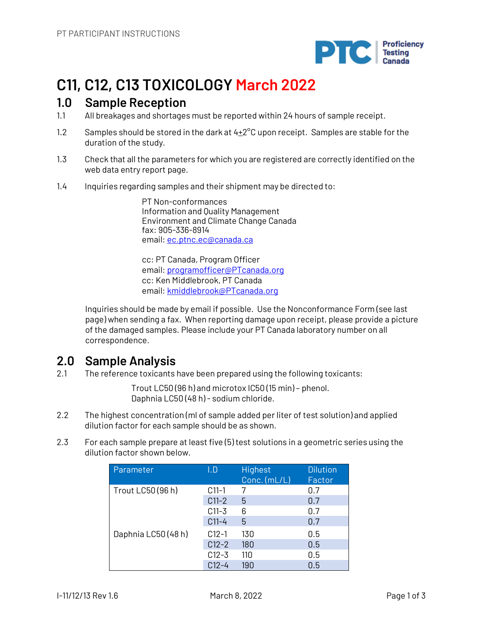

# **C11, C12, C13 TOXICOLOGY March 2022**

### **1.0 Sample Reception**

- 1.1 All breakages and shortages must be reported within 24 hours of sample receipt.
- 1.2 Samples should be stored in the dark at  $4\pm2^{\circ}$ C upon receipt. Samples are stable for the duration of the study.
- 1.3 Check that all the parameters for which you are registered are correctly identified on the web data entry report page.
- 1.4 Inquiries regarding samples and their shipment may be directed to:

PT Non-conformances Information and Quality Management Environment and Climate Change Canada fax: 905-336-8914 email: ec.ptnc.ec@canada.ca

cc: PT Canada, Program Officer email: programofficer@PTcanada.org cc: Ken Middlebrook, PT Canada email: kmiddlebrook@PTcanada.org

Inquiries should be made by email if possible. Use the Nonconformance Form (see last page) when sending a fax. When reporting damage upon receipt, please provide a picture of the damaged samples. Please include your PT Canada laboratory number on all correspondence.

## **2.0 Sample Analysis**

2.1 The reference toxicants have been prepared using the following toxicants:

Trout LC50 (96 h) and microtox IC50 (15 min) – phenol. Daphnia LC50 (48 h) - sodium chloride.

- 2.2 The highest concentration (ml of sample added per liter of test solution) and applied dilution factor for each sample should be as shown.
- 2.3 For each sample prepare at least five (5) test solutions in a geometric series using the dilution factor shown below.

| Parameter           | I.D       | Highest<br>Conc. (mL/L) | <b>Dilution</b><br>Factor |
|---------------------|-----------|-------------------------|---------------------------|
| Trout LC50 (96 h)   | $C11-1$   | 7                       | 0.7                       |
|                     | $C11-2$   | 5                       | 0.7                       |
|                     | $C11-3$   | 6                       | 0.7                       |
|                     | $C11-4$   | 5                       | 0.7                       |
| Daphnia LC50 (48 h) | $C12-1$   | 130                     | 0.5                       |
|                     | $C12-2$   | 180                     | 0.5                       |
|                     | $C12 - 3$ | 110                     | 0.5                       |
|                     | $C12 - 4$ | 190                     | 0.5                       |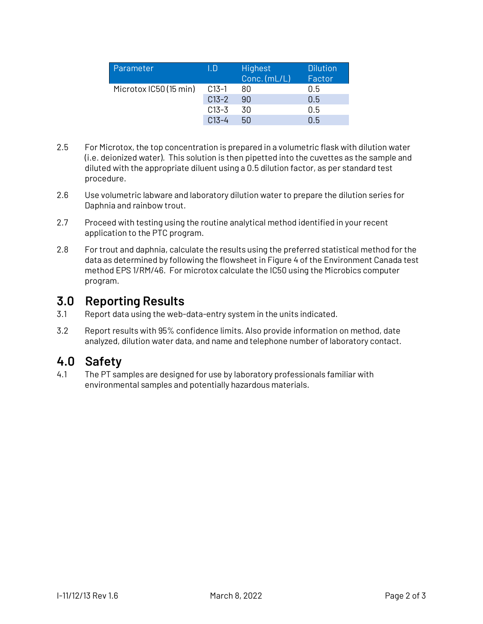| Parameter              | I.D       | <b>Highest</b><br>Conc. (mL/L) | <b>Dilution</b><br>Factor |
|------------------------|-----------|--------------------------------|---------------------------|
| Microtox IC50 (15 min) | $C13-1$   | 80                             | 0.5                       |
|                        | $C13-2$   | 90                             | 0.5                       |
|                        | $C13 - 3$ | 30                             | 0.5                       |
|                        | $C13 - 4$ | 50                             | 0.5                       |

- 2.5 For Microtox, the top concentration is prepared in a volumetric flask with dilution water (i.e. deionized water). This solution is then pipetted into the cuvettes as the sample and diluted with the appropriate diluent using a 0.5 dilution factor, as per standard test procedure.
- 2.6 Use volumetric labware and laboratory dilution water to prepare the dilution series for Daphnia and rainbow trout.
- 2.7 Proceed with testing using the routine analytical method identified in your recent application to the PTC program.
- 2.8 For trout and daphnia, calculate the results using the preferred statistical method for the data as determined by following the flowsheet in Figure 4 of the Environment Canada test method EPS 1/RM/46. For microtox calculate the IC50 using the Microbics computer program.

### **3.0 Reporting Results**

- 3.1 Report data using the web-data-entry system in the units indicated.
- 3.2 Report results with 95% confidence limits. Also provide information on method, date analyzed, dilution water data, and name and telephone number of laboratory contact.

## **4.0 Safety**

4.1 The PT samples are designed for use by laboratory professionals familiar with environmental samples and potentially hazardous materials.